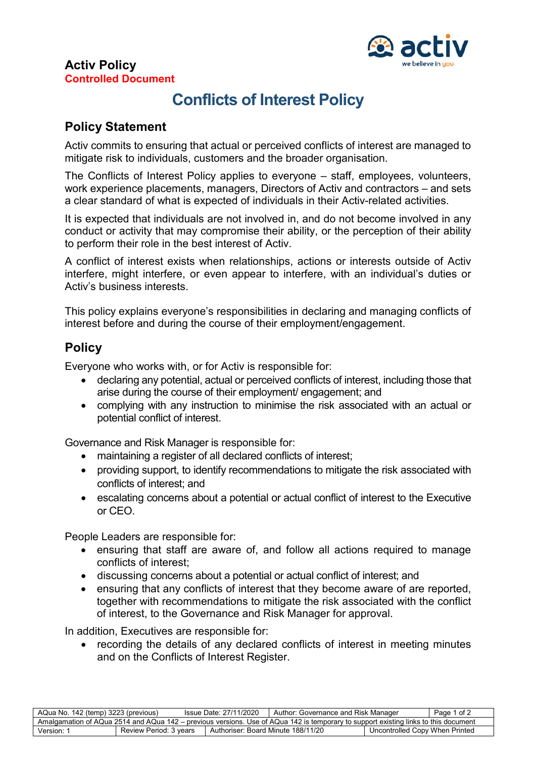

### **Activ Policy Controlled Document**

# **Conflicts of Interest Policy**

## **Policy Statement**

Activ commits to ensuring that actual or perceived conflicts of interest are managed to mitigate risk to individuals, customers and the broader organisation.

The Conflicts of Interest Policy applies to everyone – staff, employees, volunteers, work experience placements, managers, Directors of Activ and contractors – and sets a clear standard of what is expected of individuals in their Activ-related activities.

It is expected that individuals are not involved in, and do not become involved in any conduct or activity that may compromise their ability, or the perception of their ability to perform their role in the best interest of Activ.

A conflict of interest exists when relationships, actions or interests outside of Activ interfere, might interfere, or even appear to interfere, with an individual's duties or Activ's business interests.

This policy explains everyone's responsibilities in declaring and managing conflicts of interest before and during the course of their employment/engagement.

# **Policy**

Everyone who works with, or for Activ is responsible for:

- declaring any potential, actual or perceived conflicts of interest, including those that arise during the course of their employment/ engagement; and
- complying with any instruction to minimise the risk associated with an actual or potential conflict of interest.

Governance and Risk Manager is responsible for:

- maintaining a register of all declared conflicts of interest;
- providing support, to identify recommendations to mitigate the risk associated with conflicts of interest; and
- escalating concerns about a potential or actual conflict of interest to the Executive or CEO.

People Leaders are responsible for:

- ensuring that staff are aware of, and follow all actions required to manage conflicts of interest;
- discussing concerns about a potential or actual conflict of interest; and
- ensuring that any conflicts of interest that they become aware of are reported, together with recommendations to mitigate the risk associated with the conflict of interest, to the Governance and Risk Manager for approval.

In addition, Executives are responsible for:

recording the details of any declared conflicts of interest in meeting minutes and on the Conflicts of Interest Register.

| AQua No. 142 (temp) 3223 (previous)                                                                                                 |                        | Issue Date: 27/11/2020             | Author: Governance and Risk Manager |                                | Page 1 of 2 |  |  |  |  |
|-------------------------------------------------------------------------------------------------------------------------------------|------------------------|------------------------------------|-------------------------------------|--------------------------------|-------------|--|--|--|--|
| Amalgamation of AQua 2514 and AQua 142 – previous versions. Use of AQua 142 is temporary to support existing links to this document |                        |                                    |                                     |                                |             |  |  |  |  |
| Version:                                                                                                                            | Review Period: 3 years | Authoriser: Board Minute 188/11/20 |                                     | Uncontrolled Copy When Printed |             |  |  |  |  |